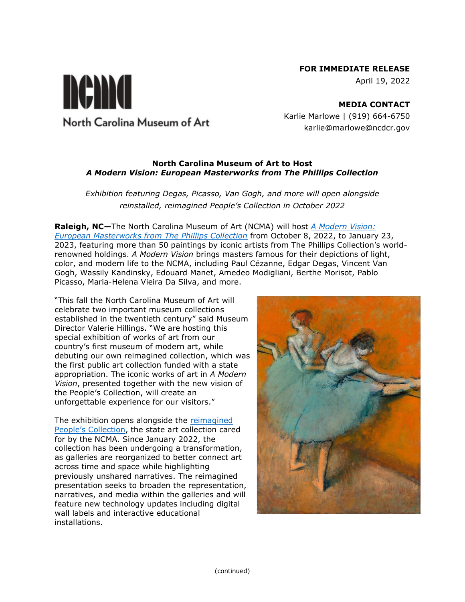## **FOR IMMEDIATE RELEASE**

April 19, 2022

**MEDIA CONTACT** Karlie Marlowe | (919) 664-6750 karlie@marlowe@ncdcr.gov

## **North Carolina Museum of Art to Host**  *A Modern Vision: European Masterworks from The Phillips Collection*

*Exhibition featuring Degas, Picasso, Van Gogh, and more will open alongside reinstalled, reimagined People's Collection in October 2022*

**Raleigh, NC—**The North Carolina Museum of Art (NCMA) will host *[A Modern Vision:](https://ncartmuseum.org/exhibition/a-modern-vision-european-masterworks-from-the-phillips-collection/)  [European Masterworks from The Phillips Collection](https://ncartmuseum.org/exhibition/a-modern-vision-european-masterworks-from-the-phillips-collection/)* from October 8, 2022, to January 23, 2023, featuring more than 50 paintings by iconic artists from The Phillips Collection's worldrenowned holdings. *A Modern Vision* brings masters famous for their depictions of light, color, and modern life to the NCMA, including Paul Cézanne, Edgar Degas, Vincent Van Gogh, Wassily Kandinsky, Edouard Manet, Amedeo Modigliani, Berthe Morisot, Pablo Picasso, Maria-Helena Vieira Da Silva, and more.

"This fall the North Carolina Museum of Art will celebrate two important museum collections established in the twentieth century" said Museum Director Valerie Hillings. "We are hosting this special exhibition of works of art from our country's first museum of modern art, while debuting our own reimagined collection, which was the first public art collection funded with a state appropriation. The iconic works of art in *A Modern Vision*, presented together with the new vision of the People's Collection, will create an unforgettable experience for our visitors."

The exhibition opens alongside the reimagined [People's Collection](file:///C:/Users/kwmarlowe/AppData/Local/Microsoft/Windows/INetCache/Content.Outlook/SYP6CO71/ncartmuseum.org/peoplescollection), the state art collection cared for by the NCMA. Since January 2022, the collection has been undergoing a transformation, as galleries are reorganized to better connect art across time and space while highlighting previously unshared narratives. The reimagined presentation seeks to broaden the representation, narratives, and media within the galleries and will feature new technology updates including digital wall labels and interactive educational installations.



nema North Carolina Museum of Art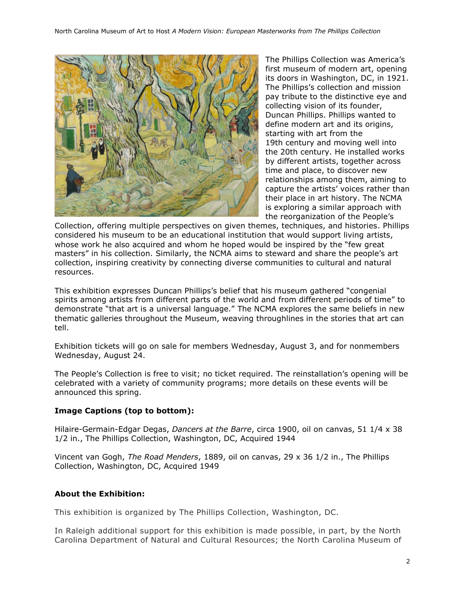

The Phillips Collection was America's first museum of modern art, opening its doors in Washington, DC, in 1921. The Phillips's collection and mission pay tribute to the distinctive eye and collecting vision of its founder, Duncan Phillips. Phillips wanted to define modern art and its origins, starting with art from the 19th century and moving well into the 20th century. He installed works by different artists, together across time and place, to discover new relationships among them, aiming to capture the artists' voices rather than their place in art history. The NCMA is exploring a similar approach with the reorganization of the People's

Collection, offering multiple perspectives on given themes, techniques, and histories. Phillips considered his museum to be an educational institution that would support living artists, whose work he also acquired and whom he hoped would be inspired by the "few great masters" in his collection. Similarly, the NCMA aims to steward and share the people's art collection, inspiring creativity by connecting diverse communities to cultural and natural resources.

This exhibition expresses Duncan Phillips's belief that his museum gathered "congenial spirits among artists from different parts of the world and from different periods of time" to demonstrate "that art is a universal language." The NCMA explores the same beliefs in new thematic galleries throughout the Museum, weaving throughlines in the stories that art can tell.

Exhibition tickets will go on sale for members Wednesday, August 3, and for nonmembers Wednesday, August 24.

The People's Collection is free to visit; no ticket required. The reinstallation's opening will be celebrated with a variety of community programs; more details on these events will be announced this spring.

# **Image Captions (top to bottom):**

Hilaire-Germain-Edgar Degas, *Dancers at the Barre*, circa 1900, oil on canvas, 51 1/4 x 38 1/2 in., The Phillips Collection, Washington, DC, Acquired 1944

Vincent van Gogh, *The Road Menders*, 1889, oil on canvas, 29 x 36 1/2 in., The Phillips Collection, Washington, DC, Acquired 1949

### **About the Exhibition:**

This exhibition is organized by The Phillips Collection, Washington, DC.

In Raleigh additional support for this exhibition is made possible, in part, by the North Carolina Department of Natural and Cultural Resources; the North Carolina Museum of